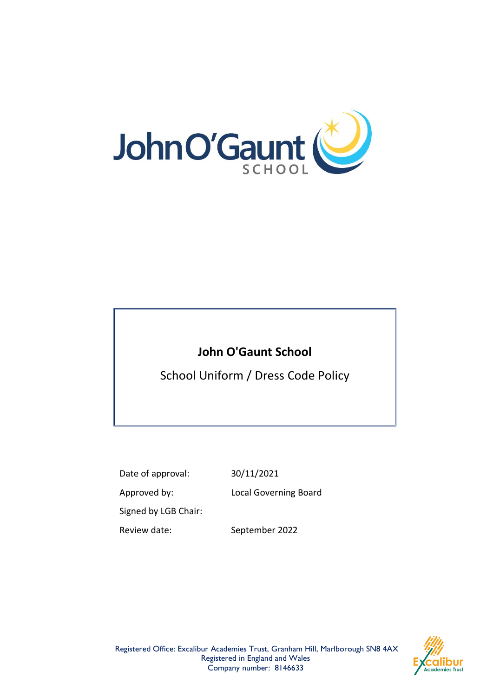

## **John O'Gaunt School**

School Uniform / Dress Code Policy

Date of approval: 30/11/2021

Approved by: Local Governing Board

Signed by LGB Chair:

Review date: September 2022



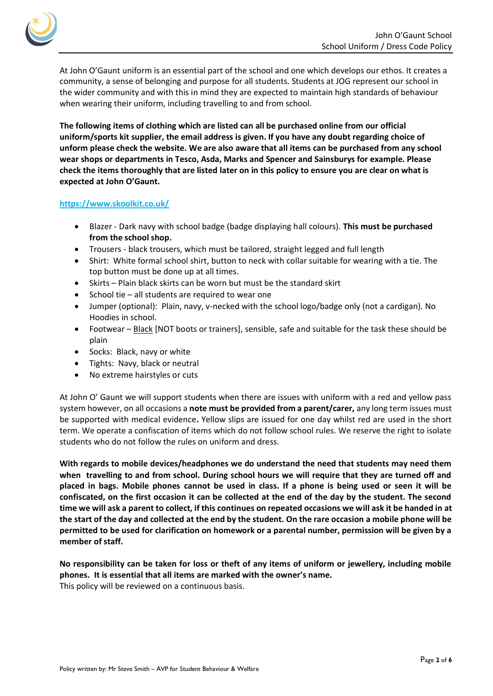

At John O'Gaunt uniform is an essential part of the school and one which develops our ethos. It creates a community, a sense of belonging and purpose for all students. Students at JOG represent our school in the wider community and with this in mind they are expected to maintain high standards of behaviour when wearing their uniform, including travelling to and from school.

**The following items of clothing which are listed can all be purchased online from our official uniform/sports kit supplier, the email address is given. If you have any doubt regarding choice of unform please check the website. We are also aware that all items can be purchased from any school wear shops or departments in Tesco, Asda, Marks and Spencer and Sainsburys for example. Please check the items thoroughly that are listed later on in this policy to ensure you are clear on what is expected at John O'Gaunt.**

## **<https://www.skoolkit.co.uk/>**

- Blazer Dark navy with school badge (badge displaying hall colours). **This must be purchased from the school shop.**
- Trousers black trousers, which must be tailored, straight legged and full length
- Shirt: White formal school shirt, button to neck with collar suitable for wearing with a tie. The top button must be done up at all times.
- Skirts Plain black skirts can be worn but must be the standard skirt
- School tie  $-$  all students are required to wear one
- Jumper (optional): Plain, navy, v-necked with the school logo/badge only (not a cardigan). No Hoodies in school.
- Footwear **Black** [NOT boots or trainers], sensible, safe and suitable for the task these should be plain
- Socks: Black, navy or white
- Tights: Navy, black or neutral
- No extreme hairstyles or cuts

At John O' Gaunt we will support students when there are issues with uniform with a red and yellow pass system however, on all occasions a **note must be provided from a parent/carer,** any long term issues must be supported with medical evidence**.** Yellow slips are issued for one day whilst red are used in the short term. We operate a confiscation of items which do not follow school rules. We reserve the right to isolate students who do not follow the rules on uniform and dress.

**With regards to mobile devices/headphones we do understand the need that students may need them when travelling to and from school. During school hours we will require that they are turned off and placed in bags. Mobile phones cannot be used in class. If a phone is being used or seen it will be confiscated, on the first occasion it can be collected at the end of the day by the student. The second time we will ask a parent to collect, if this continues on repeated occasions we will ask it be handed in at the start of the day and collected at the end by the student. On the rare occasion a mobile phone will be permitted to be used for clarification on homework or a parental number, permission will be given by a member of staff.** 

**No responsibility can be taken for loss or theft of any items of uniform or jewellery, including mobile phones. It is essential that all items are marked with the owner's name.** This policy will be reviewed on a continuous basis.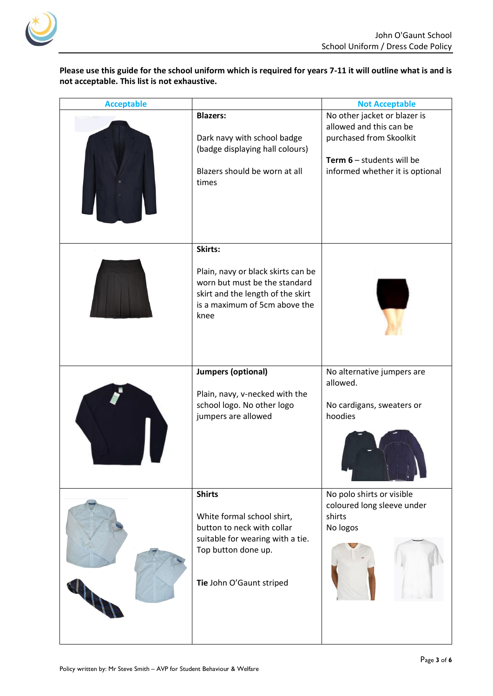

**Please use this guide for the school uniform which is required for years 7-11 it will outline what is and is not acceptable. This list is not exhaustive.**

| <b>Acceptable</b> |                                    | <b>Not Acceptable</b>                |
|-------------------|------------------------------------|--------------------------------------|
|                   | <b>Blazers:</b>                    | No other jacket or blazer is         |
|                   |                                    | allowed and this can be              |
|                   | Dark navy with school badge        | purchased from Skoolkit              |
|                   | (badge displaying hall colours)    |                                      |
|                   |                                    | <b>Term 6 - students will be</b>     |
|                   | Blazers should be worn at all      | informed whether it is optional      |
|                   | times                              |                                      |
|                   |                                    |                                      |
|                   |                                    |                                      |
|                   |                                    |                                      |
|                   |                                    |                                      |
|                   |                                    |                                      |
|                   | Skirts:                            |                                      |
|                   |                                    |                                      |
|                   | Plain, navy or black skirts can be |                                      |
|                   | worn but must be the standard      |                                      |
|                   | skirt and the length of the skirt  |                                      |
|                   | is a maximum of 5cm above the      |                                      |
|                   | knee                               |                                      |
|                   |                                    |                                      |
|                   |                                    |                                      |
|                   |                                    |                                      |
|                   |                                    |                                      |
|                   | <b>Jumpers (optional)</b>          | No alternative jumpers are           |
|                   |                                    | allowed.                             |
|                   | Plain, navy, v-necked with the     |                                      |
|                   | school logo. No other logo         | No cardigans, sweaters or            |
|                   | jumpers are allowed                | hoodies                              |
|                   |                                    |                                      |
|                   |                                    |                                      |
|                   |                                    |                                      |
|                   |                                    |                                      |
|                   |                                    |                                      |
|                   |                                    |                                      |
|                   | <b>Shirts</b>                      | No polo shirts or visible            |
|                   | White formal school shirt,         | coloured long sleeve under<br>shirts |
|                   | button to neck with collar         |                                      |
|                   | suitable for wearing with a tie.   | No logos                             |
|                   | Top button done up.                |                                      |
|                   |                                    |                                      |
|                   |                                    |                                      |
|                   | Tie John O'Gaunt striped           |                                      |
|                   |                                    |                                      |
|                   |                                    |                                      |
|                   |                                    |                                      |
|                   |                                    |                                      |
|                   |                                    |                                      |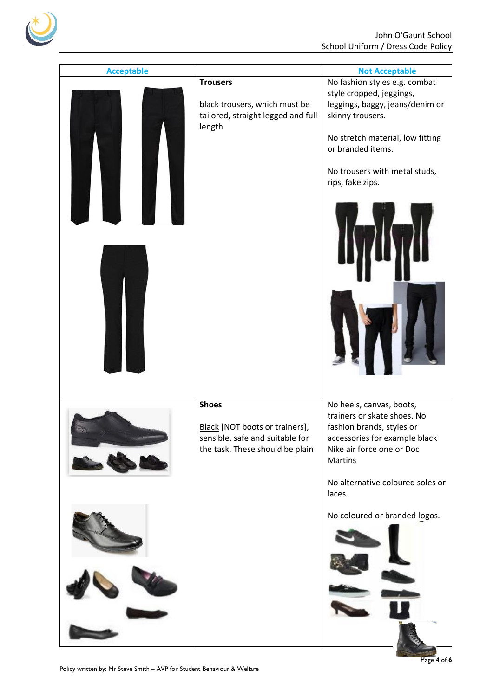

| <b>Acceptable</b> |                                                                                                                      | <b>Not Acceptable</b>                                                                                                                                                                                                                        |
|-------------------|----------------------------------------------------------------------------------------------------------------------|----------------------------------------------------------------------------------------------------------------------------------------------------------------------------------------------------------------------------------------------|
|                   | <b>Trousers</b><br>black trousers, which must be<br>tailored, straight legged and full<br>length                     | No fashion styles e.g. combat<br>style cropped, jeggings,<br>leggings, baggy, jeans/denim or<br>skinny trousers.<br>No stretch material, low fitting<br>or branded items.<br>No trousers with metal studs,<br>rips, fake zips.               |
|                   | <b>Shoes</b><br>Black [NOT boots or trainers],<br>sensible, safe and suitable for<br>the task. These should be plain | No heels, canvas, boots,<br>trainers or skate shoes. No<br>fashion brands, styles or<br>accessories for example black<br>Nike air force one or Doc<br>Martins<br>No alternative coloured soles or<br>laces.<br>No coloured or branded logos. |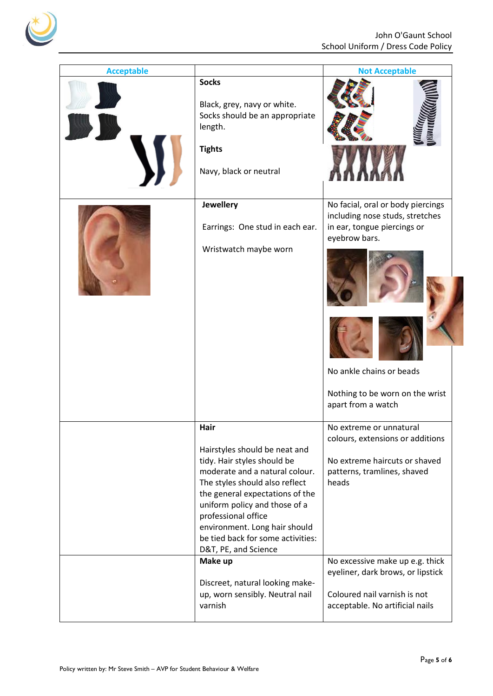

| <b>Acceptable</b> |                                                                                                                                                                                                                                                                                                                                                                                                                    | <b>Not Acceptable</b>                                                                                                                                                                                                                        |  |
|-------------------|--------------------------------------------------------------------------------------------------------------------------------------------------------------------------------------------------------------------------------------------------------------------------------------------------------------------------------------------------------------------------------------------------------------------|----------------------------------------------------------------------------------------------------------------------------------------------------------------------------------------------------------------------------------------------|--|
|                   | <b>Socks</b><br>Black, grey, navy or white.<br>Socks should be an appropriate<br>length.<br><b>Tights</b><br>Navy, black or neutral                                                                                                                                                                                                                                                                                |                                                                                                                                                                                                                                              |  |
|                   | Jewellery<br>Earrings: One stud in each ear.<br>Wristwatch maybe worn                                                                                                                                                                                                                                                                                                                                              | No facial, oral or body piercings<br>including nose studs, stretches<br>in ear, tongue piercings or<br>eyebrow bars.<br>No ankle chains or beads<br>Nothing to be worn on the wrist<br>apart from a watch                                    |  |
|                   | Hair<br>Hairstyles should be neat and<br>tidy. Hair styles should be<br>moderate and a natural colour.<br>The styles should also reflect<br>the general expectations of the<br>uniform policy and those of a<br>professional office<br>environment. Long hair should<br>be tied back for some activities:<br>D&T, PE, and Science<br>Make up<br>Discreet, natural looking make-<br>up, worn sensibly. Neutral nail | No extreme or unnatural<br>colours, extensions or additions<br>No extreme haircuts or shaved<br>patterns, tramlines, shaved<br>heads<br>No excessive make up e.g. thick<br>eyeliner, dark brows, or lipstick<br>Coloured nail varnish is not |  |
|                   | varnish                                                                                                                                                                                                                                                                                                                                                                                                            | acceptable. No artificial nails                                                                                                                                                                                                              |  |